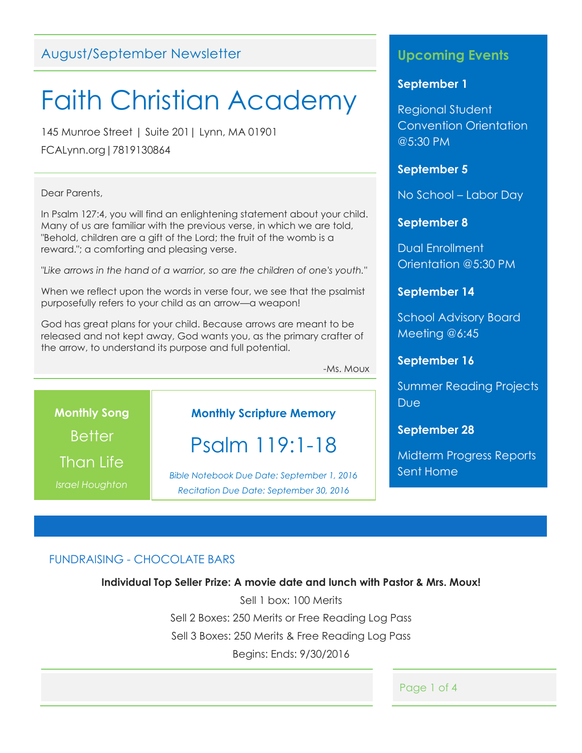## August/September Newsletter

## Faith Christian Academy

145 Munroe Street | Suite 201| Lynn, MA 01901

FCALynn.org|7819130864

#### Dear Parents,

In Psalm 127:4, you will find an enlightening statement about your child. Many of us are familiar with the previous verse, in which we are told, "Behold, children are a gift of the Lord; the fruit of the womb is a reward."; a comforting and pleasing verse.

*"Like arrows in the hand of a warrior, so are the children of one's youth."*

When we reflect upon the words in verse four, we see that the psalmist purposefully refers to your child as an arrow—a weapon!

God has great plans for your child. Because arrows are meant to be released and not kept away, God wants you, as the primary crafter of the arrow, to understand its purpose and full potential.

-Ms. Moux

**Monthly Song Better** Than Life

*Israel Houghton*

## **Monthly Scripture Memory**

## Psalm 119:1-18

*Bible Notebook Due Date: September 1, 2016 Recitation Due Date: September 30, 2016*

## **Upcoming Events**

#### **September 1**

Regional Student Convention Orientation @5:30 PM

#### **September 5**

No School – Labor Day

#### **September 8**

Dual Enrollment Orientation @5:30 PM

## **September 14**

School Advisory Board Meeting @6:45

## **September 16**

Summer Reading Projects **Due** 

### **September 28**

Midterm Progress Reports Sent Home

## FUNDRAISING - CHOCOLATE BARS

#### **Individual Top Seller Prize: A movie date and lunch with Pastor & Mrs. Moux!**

Sell 1 box: 100 Merits Sell 2 Boxes: 250 Merits or Free Reading Log Pass Sell 3 Boxes: 250 Merits & Free Reading Log Pass Begins: Ends: 9/30/2016

Page 1 of 4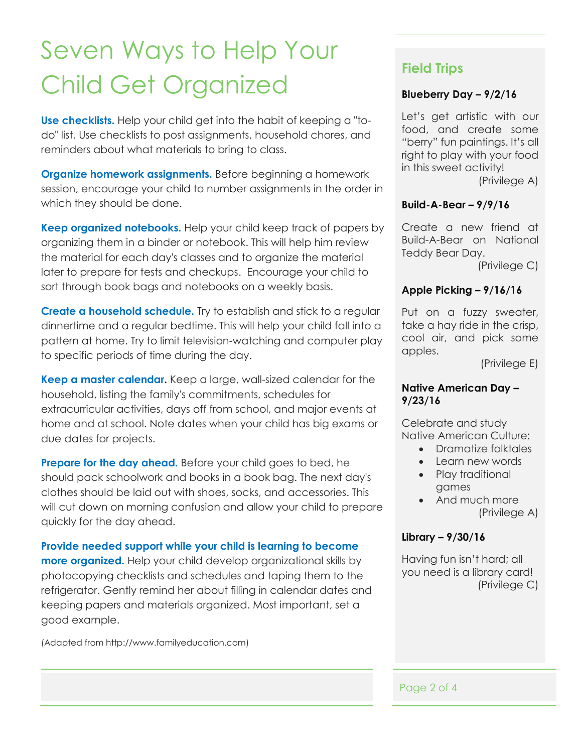# Seven Ways to Help Your Child Get Organized

**Use checklists.** Help your child get into the habit of keeping a "todo" list. Use checklists to post assignments, household chores, and reminders about what materials to bring to class.

**Organize homework assignments.** Before beginning a homework session, encourage your child to number assignments in the order in which they should be done.

**Keep organized notebooks.** Help your child keep track of papers by organizing them in a binder or notebook. This will help him review the material for each day's classes and to organize the material later to prepare for tests and checkups. Encourage your child to sort through book bags and notebooks on a weekly basis.

**Create a household schedule.** Try to establish and stick to a regular dinnertime and a regular bedtime. This will help your child fall into a pattern at home. Try to limit television-watching and computer play to specific periods of time during the day.

**Keep a master calendar.** Keep a large, wall-sized calendar for the household, listing the family's commitments, schedules for extracurricular activities, days off from school, and major events at home and at school. Note dates when your child has big exams or due dates for projects.

**Prepare for the day ahead.** Before your child goes to bed, he should pack schoolwork and books in a book bag. The next day's clothes should be laid out with shoes, socks, and accessories. This will cut down on morning confusion and allow your child to prepare quickly for the day ahead.

**Provide needed support while your child is learning to become more organized.** Help your child develop organizational skills by photocopying checklists and schedules and taping them to the refrigerator. Gently remind her about filling in calendar dates and keeping papers and materials organized. Most important, set a good example.

(Adapted from http://www.familyeducation.com)

## **Field Trips**

## **Blueberry Day – 9/2/16**

Let's get artistic with our food, and create some "berry" fun paintings. It's all right to play with your food in this sweet activity!

(Privilege A)

## **Build-A-Bear – 9/9/16**

Create a new friend at Build-A-Bear on National Teddy Bear Day.

(Privilege C)

## **Apple Picking – 9/16/16**

Put on a fuzzy sweater, take a hay ride in the crisp, cool air, and pick some apples.

(Privilege E)

### **Native American Day – 9/23/16**

Celebrate and study Native American Culture:

- Dramatize folktales
- Learn new words
- Play traditional games
- And much more (Privilege A)

### **Library – 9/30/16**

Having fun isn't hard; all you need is a library card! (Privilege C)

Page 2 of 4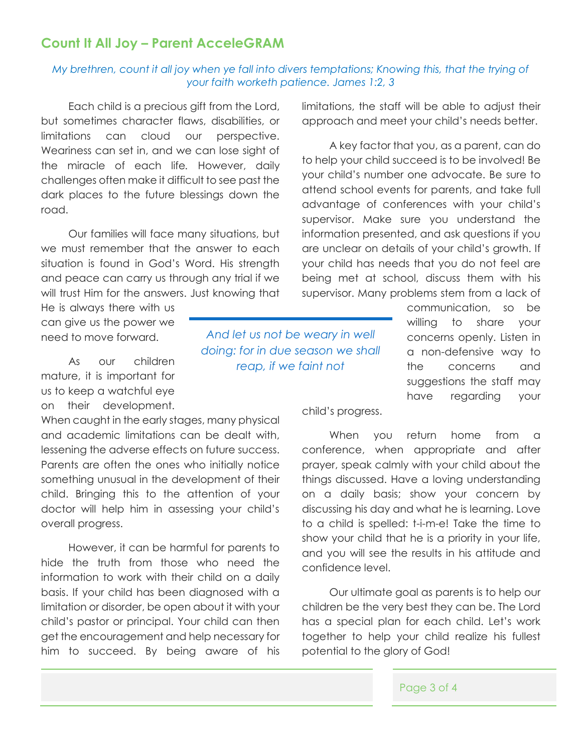## **Count It All Joy – Parent AcceleGRAM**

## *My brethren, count it all joy when ye fall into divers temptations; Knowing this, that the trying of your faith worketh patience. James 1:2, 3*

Each child is a precious gift from the Lord, but sometimes character flaws, disabilities, or limitations can cloud our perspective. Weariness can set in, and we can lose sight of the miracle of each life*.* However, daily challenges often make it difficult to see past the dark places to the future blessings down the road.

Our families will face many situations, but we must remember that the answer to each situation is found in God's Word. His strength and peace can carry us through any trial if we will trust Him for the answers. Just knowing that

He is always there with us can give us the power we need to move forward.

As our children mature, it is important for us to keep a watchful eye on their development.

When caught in the early stages, many physical and academic limitations can be dealt with, lessening the adverse effects on future success. Parents are often the ones who initially notice something unusual in the development of their child. Bringing this to the attention of your doctor will help him in assessing your child's overall progress.

However, it can be harmful for parents to hide the truth from those who need the information to work with their child on a daily basis. If your child has been diagnosed with a limitation or disorder, be open about it with your child's pastor or principal. Your child can then get the encouragement and help necessary for him to succeed. By being aware of his

limitations, the staff will be able to adjust their approach and meet your child's needs better.

A key factor that you, as a parent, can do to help your child succeed is to be involved! Be your child's number one advocate. Be sure to attend school events for parents, and take full advantage of conferences with your child's supervisor. Make sure you understand the information presented, and ask questions if you are unclear on details of your child's growth. If your child has needs that you do not feel are being met at school, discuss them with his supervisor. Many problems stem from a lack of

> communication, so be willing to share your concerns openly. Listen in a non-defensive way to the concerns and suggestions the staff may have regarding your

*And let us not be weary in well doing: for in due season we shall reap, if we faint not*

child's progress.

When you return home from a conference, when appropriate and after prayer, speak calmly with your child about the things discussed. Have a loving understanding on a daily basis; show your concern by discussing his day and what he is learning. Love to a child is spelled: t-i-m-e! Take the time to show your child that he is a priority in your life, and you will see the results in his attitude and confidence level.

Our ultimate goal as parents is to help our children be the very best they can be. The Lord has a special plan for each child. Let's work together to help your child realize his fullest potential to the glory of God!

Page 3 of 4